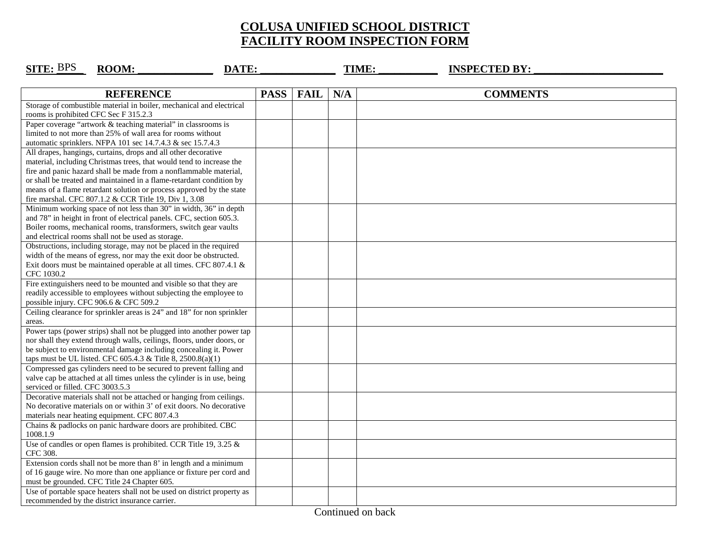## **COLUSA UNIFIED SCHOOL DISTRICT FACILITY ROOM INSPECTION FORM**

| <b>SITE: BPS</b><br>ROOM:<br>DATE:                                                                                                           |             |             |     | TIME: | <b>INSPECTED BY:</b> |  |
|----------------------------------------------------------------------------------------------------------------------------------------------|-------------|-------------|-----|-------|----------------------|--|
|                                                                                                                                              |             |             |     |       |                      |  |
| <b>REFERENCE</b>                                                                                                                             | <b>PASS</b> | <b>FAIL</b> | N/A |       | <b>COMMENTS</b>      |  |
| Storage of combustible material in boiler, mechanical and electrical                                                                         |             |             |     |       |                      |  |
| rooms is prohibited CFC Sec F 315.2.3                                                                                                        |             |             |     |       |                      |  |
| Paper coverage "artwork & teaching material" in classrooms is                                                                                |             |             |     |       |                      |  |
| limited to not more than 25% of wall area for rooms without                                                                                  |             |             |     |       |                      |  |
| automatic sprinklers. NFPA 101 sec 14.7.4.3 & sec 15.7.4.3                                                                                   |             |             |     |       |                      |  |
| All drapes, hangings, curtains, drops and all other decorative                                                                               |             |             |     |       |                      |  |
| material, including Christmas trees, that would tend to increase the                                                                         |             |             |     |       |                      |  |
| fire and panic hazard shall be made from a nonflammable material,                                                                            |             |             |     |       |                      |  |
| or shall be treated and maintained in a flame-retardant condition by                                                                         |             |             |     |       |                      |  |
| means of a flame retardant solution or process approved by the state<br>fire marshal. CFC 807.1.2 & CCR Title 19, Div 1, 3.08                |             |             |     |       |                      |  |
| Minimum working space of not less than 30" in width, 36" in depth                                                                            |             |             |     |       |                      |  |
| and 78" in height in front of electrical panels. CFC, section 605.3.                                                                         |             |             |     |       |                      |  |
| Boiler rooms, mechanical rooms, transformers, switch gear vaults                                                                             |             |             |     |       |                      |  |
| and electrical rooms shall not be used as storage.                                                                                           |             |             |     |       |                      |  |
| Obstructions, including storage, may not be placed in the required                                                                           |             |             |     |       |                      |  |
| width of the means of egress, nor may the exit door be obstructed.                                                                           |             |             |     |       |                      |  |
| Exit doors must be maintained operable at all times. CFC 807.4.1 &                                                                           |             |             |     |       |                      |  |
| CFC 1030.2                                                                                                                                   |             |             |     |       |                      |  |
| Fire extinguishers need to be mounted and visible so that they are                                                                           |             |             |     |       |                      |  |
| readily accessible to employees without subjecting the employee to                                                                           |             |             |     |       |                      |  |
| possible injury. CFC 906.6 & CFC 509.2                                                                                                       |             |             |     |       |                      |  |
| Ceiling clearance for sprinkler areas is 24" and 18" for non sprinkler                                                                       |             |             |     |       |                      |  |
| areas.                                                                                                                                       |             |             |     |       |                      |  |
| Power taps (power strips) shall not be plugged into another power tap                                                                        |             |             |     |       |                      |  |
| nor shall they extend through walls, ceilings, floors, under doors, or                                                                       |             |             |     |       |                      |  |
| be subject to environmental damage including concealing it. Power                                                                            |             |             |     |       |                      |  |
| taps must be UL listed. CFC 605.4.3 & Title 8, 2500.8(a)(1)                                                                                  |             |             |     |       |                      |  |
| Compressed gas cylinders need to be secured to prevent falling and                                                                           |             |             |     |       |                      |  |
| valve cap be attached at all times unless the cylinder is in use, being                                                                      |             |             |     |       |                      |  |
| serviced or filled. CFC 3003.5.3                                                                                                             |             |             |     |       |                      |  |
| Decorative materials shall not be attached or hanging from ceilings.<br>No decorative materials on or within 3' of exit doors. No decorative |             |             |     |       |                      |  |
| materials near heating equipment. CFC 807.4.3                                                                                                |             |             |     |       |                      |  |
| Chains & padlocks on panic hardware doors are prohibited. CBC                                                                                |             |             |     |       |                      |  |
| 1008.1.9                                                                                                                                     |             |             |     |       |                      |  |
| Use of candles or open flames is prohibited. CCR Title 19, 3.25 &                                                                            |             |             |     |       |                      |  |
| CFC 308.                                                                                                                                     |             |             |     |       |                      |  |
| Extension cords shall not be more than 8' in length and a minimum                                                                            |             |             |     |       |                      |  |
| of 16 gauge wire. No more than one appliance or fixture per cord and                                                                         |             |             |     |       |                      |  |
| must be grounded. CFC Title 24 Chapter 605.                                                                                                  |             |             |     |       |                      |  |
| Use of portable space heaters shall not be used on district property as                                                                      |             |             |     |       |                      |  |
| recommended by the district insurance carrier.                                                                                               |             |             |     |       |                      |  |